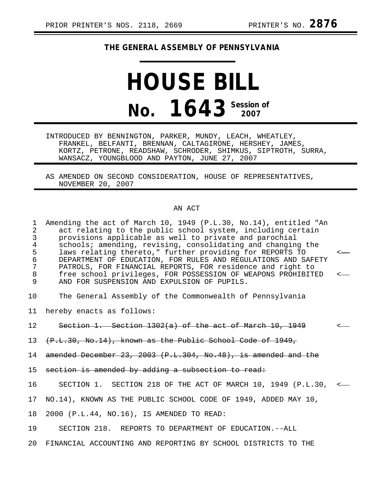## **THE GENERAL ASSEMBLY OF PENNSYLVANIA**

## **HOUSE BILL No. 1643 Session of**

INTRODUCED BY BENNINGTON, PARKER, MUNDY, LEACH, WHEATLEY, FRANKEL, BELFANTI, BRENNAN, CALTAGIRONE, HERSHEY, JAMES, KORTZ, PETRONE, READSHAW, SCHRODER, SHIMKUS, SIPTROTH, SURRA, WANSACZ, YOUNGBLOOD AND PAYTON, JUNE 27, 2007

AS AMENDED ON SECOND CONSIDERATION, HOUSE OF REPRESENTATIVES, NOVEMBER 20, 2007

## AN ACT

| $\mathbf{1}$<br>2<br>$\mathbf{3}$<br>$\overline{4}$<br>5<br>$\sqrt{6}$<br>$\overline{7}$<br>$\,8\,$<br>9 | Amending the act of March 10, 1949 (P.L.30, No.14), entitled "An<br>act relating to the public school system, including certain<br>provisions applicable as well to private and parochial<br>schools; amending, revising, consolidating and changing the<br>laws relating thereto," further providing for REPORTS TO<br>DEPARTMENT OF EDUCATION, FOR RULES AND REGULATIONS AND SAFETY<br>PATROLS, FOR FINANCIAL REPORTS, FOR residence and right to<br>free school privileges, FOR POSSESSION OF WEAPONS PROHIBITED<br>AND FOR SUSPENSION AND EXPULSION OF PUPILS. | $\leftarrow$ |
|----------------------------------------------------------------------------------------------------------|--------------------------------------------------------------------------------------------------------------------------------------------------------------------------------------------------------------------------------------------------------------------------------------------------------------------------------------------------------------------------------------------------------------------------------------------------------------------------------------------------------------------------------------------------------------------|--------------|
| 10                                                                                                       | The General Assembly of the Commonwealth of Pennsylvania                                                                                                                                                                                                                                                                                                                                                                                                                                                                                                           |              |
|                                                                                                          | 11 hereby enacts as follows:                                                                                                                                                                                                                                                                                                                                                                                                                                                                                                                                       |              |
| 12                                                                                                       | Section 1. Section $1302(a)$ of the act of March 10, 1949                                                                                                                                                                                                                                                                                                                                                                                                                                                                                                          |              |
|                                                                                                          | 13 (P.L.30, No.14), known as the Public School Code of 1949,                                                                                                                                                                                                                                                                                                                                                                                                                                                                                                       |              |
| 14                                                                                                       | amended December 23, 2003 (P.L.304, No.48), is amended and the                                                                                                                                                                                                                                                                                                                                                                                                                                                                                                     |              |
|                                                                                                          | 15 section is amended by adding a subsection to read:                                                                                                                                                                                                                                                                                                                                                                                                                                                                                                              |              |
| 16                                                                                                       | SECTION 1. SECTION 218 OF THE ACT OF MARCH 10, 1949 (P.L.30, <-                                                                                                                                                                                                                                                                                                                                                                                                                                                                                                    |              |
| 17                                                                                                       | NO.14), KNOWN AS THE PUBLIC SCHOOL CODE OF 1949, ADDED MAY 10,                                                                                                                                                                                                                                                                                                                                                                                                                                                                                                     |              |
| 18                                                                                                       | 2000 (P.L.44, NO.16), IS AMENDED TO READ:                                                                                                                                                                                                                                                                                                                                                                                                                                                                                                                          |              |
| 19                                                                                                       | SECTION 218. REPORTS TO DEPARTMENT OF EDUCATION. -- ALL                                                                                                                                                                                                                                                                                                                                                                                                                                                                                                            |              |
|                                                                                                          | 20 FINANCIAL ACCOUNTING AND REPORTING BY SCHOOL DISTRICTS TO THE                                                                                                                                                                                                                                                                                                                                                                                                                                                                                                   |              |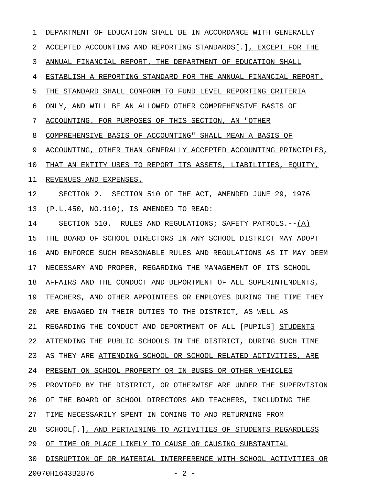1 DEPARTMENT OF EDUCATION SHALL BE IN ACCORDANCE WITH GENERALLY 2 ACCEPTED ACCOUNTING AND REPORTING STANDARDS[.], EXCEPT FOR THE 3 ANNUAL FINANCIAL REPORT. THE DEPARTMENT OF EDUCATION SHALL 4 ESTABLISH A REPORTING STANDARD FOR THE ANNUAL FINANCIAL REPORT. 5 THE STANDARD SHALL CONFORM TO FUND LEVEL REPORTING CRITERIA 6 ONLY, AND WILL BE AN ALLOWED OTHER COMPREHENSIVE BASIS OF 7 ACCOUNTING. FOR PURPOSES OF THIS SECTION, AN "OTHER 8 COMPREHENSIVE BASIS OF ACCOUNTING" SHALL MEAN A BASIS OF 9 ACCOUNTING, OTHER THAN GENERALLY ACCEPTED ACCOUNTING PRINCIPLES, 10 THAT AN ENTITY USES TO REPORT ITS ASSETS, LIABILITIES, EQUITY, 11 REVENUES AND EXPENSES. 12 SECTION 2. SECTION 510 OF THE ACT, AMENDED JUNE 29, 1976 13 (P.L.450, NO.110), IS AMENDED TO READ: 14 SECTION 510. RULES AND REGULATIONS; SAFETY PATROLS.--(A) 15 THE BOARD OF SCHOOL DIRECTORS IN ANY SCHOOL DISTRICT MAY ADOPT 16 AND ENFORCE SUCH REASONABLE RULES AND REGULATIONS AS IT MAY DEEM 17 NECESSARY AND PROPER, REGARDING THE MANAGEMENT OF ITS SCHOOL 18 AFFAIRS AND THE CONDUCT AND DEPORTMENT OF ALL SUPERINTENDENTS, 19 TEACHERS, AND OTHER APPOINTEES OR EMPLOYES DURING THE TIME THEY 20 ARE ENGAGED IN THEIR DUTIES TO THE DISTRICT, AS WELL AS 21 REGARDING THE CONDUCT AND DEPORTMENT OF ALL [PUPILS] STUDENTS 22 ATTENDING THE PUBLIC SCHOOLS IN THE DISTRICT, DURING SUCH TIME 23 AS THEY ARE ATTENDING SCHOOL OR SCHOOL-RELATED ACTIVITIES, ARE 24 PRESENT ON SCHOOL PROPERTY OR IN BUSES OR OTHER VEHICLES 25 PROVIDED BY THE DISTRICT, OR OTHERWISE ARE UNDER THE SUPERVISION 26 OF THE BOARD OF SCHOOL DIRECTORS AND TEACHERS, INCLUDING THE 27 TIME NECESSARILY SPENT IN COMING TO AND RETURNING FROM 28 SCHOOL[.], AND PERTAINING TO ACTIVITIES OF STUDENTS REGARDLESS 29 OF TIME OR PLACE LIKELY TO CAUSE OR CAUSING SUBSTANTIAL 30 DISRUPTION OF OR MATERIAL INTERFERENCE WITH SCHOOL ACTIVITIES OR 20070H1643B2876 - 2 -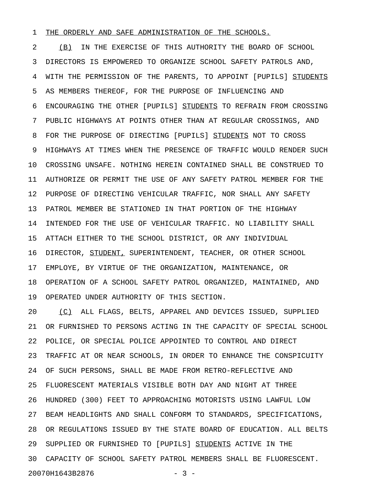## 1 THE ORDERLY AND SAFE ADMINISTRATION OF THE SCHOOLS.

2 (B) IN THE EXERCISE OF THIS AUTHORITY THE BOARD OF SCHOOL 3 DIRECTORS IS EMPOWERED TO ORGANIZE SCHOOL SAFETY PATROLS AND, 4 WITH THE PERMISSION OF THE PARENTS, TO APPOINT [PUPILS] STUDENTS 5 AS MEMBERS THEREOF, FOR THE PURPOSE OF INFLUENCING AND 6 ENCOURAGING THE OTHER [PUPILS] STUDENTS TO REFRAIN FROM CROSSING 7 PUBLIC HIGHWAYS AT POINTS OTHER THAN AT REGULAR CROSSINGS, AND 8 FOR THE PURPOSE OF DIRECTING [PUPILS] STUDENTS NOT TO CROSS 9 HIGHWAYS AT TIMES WHEN THE PRESENCE OF TRAFFIC WOULD RENDER SUCH 10 CROSSING UNSAFE. NOTHING HEREIN CONTAINED SHALL BE CONSTRUED TO 11 AUTHORIZE OR PERMIT THE USE OF ANY SAFETY PATROL MEMBER FOR THE 12 PURPOSE OF DIRECTING VEHICULAR TRAFFIC, NOR SHALL ANY SAFETY 13 PATROL MEMBER BE STATIONED IN THAT PORTION OF THE HIGHWAY 14 INTENDED FOR THE USE OF VEHICULAR TRAFFIC. NO LIABILITY SHALL 15 ATTACH EITHER TO THE SCHOOL DISTRICT, OR ANY INDIVIDUAL 16 DIRECTOR, STUDENT, SUPERINTENDENT, TEACHER, OR OTHER SCHOOL 17 EMPLOYE, BY VIRTUE OF THE ORGANIZATION, MAINTENANCE, OR 18 OPERATION OF A SCHOOL SAFETY PATROL ORGANIZED, MAINTAINED, AND 19 OPERATED UNDER AUTHORITY OF THIS SECTION.

20 (C) ALL FLAGS, BELTS, APPAREL AND DEVICES ISSUED, SUPPLIED \_\_\_ 21 OR FURNISHED TO PERSONS ACTING IN THE CAPACITY OF SPECIAL SCHOOL 22 POLICE, OR SPECIAL POLICE APPOINTED TO CONTROL AND DIRECT 23 TRAFFIC AT OR NEAR SCHOOLS, IN ORDER TO ENHANCE THE CONSPICUITY 24 OF SUCH PERSONS, SHALL BE MADE FROM RETRO-REFLECTIVE AND 25 FLUORESCENT MATERIALS VISIBLE BOTH DAY AND NIGHT AT THREE 26 HUNDRED (300) FEET TO APPROACHING MOTORISTS USING LAWFUL LOW 27 BEAM HEADLIGHTS AND SHALL CONFORM TO STANDARDS, SPECIFICATIONS, 28 OR REGULATIONS ISSUED BY THE STATE BOARD OF EDUCATION. ALL BELTS 29 SUPPLIED OR FURNISHED TO [PUPILS] STUDENTS ACTIVE IN THE 30 CAPACITY OF SCHOOL SAFETY PATROL MEMBERS SHALL BE FLUORESCENT. 20070H1643B2876 - 3 -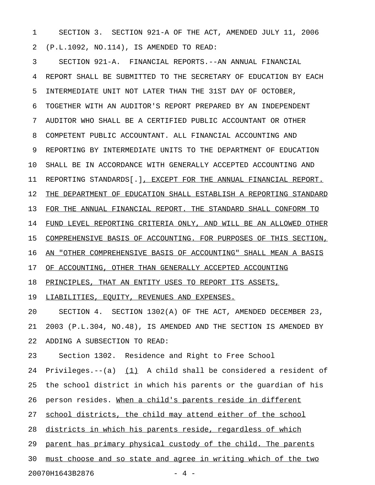1 SECTION 3. SECTION 921-A OF THE ACT, AMENDED JULY 11, 2006 2 (P.L.1092, NO.114), IS AMENDED TO READ:

3 SECTION 921-A. FINANCIAL REPORTS.--AN ANNUAL FINANCIAL 4 REPORT SHALL BE SUBMITTED TO THE SECRETARY OF EDUCATION BY EACH 5 INTERMEDIATE UNIT NOT LATER THAN THE 31ST DAY OF OCTOBER, 6 TOGETHER WITH AN AUDITOR'S REPORT PREPARED BY AN INDEPENDENT 7 AUDITOR WHO SHALL BE A CERTIFIED PUBLIC ACCOUNTANT OR OTHER 8 COMPETENT PUBLIC ACCOUNTANT. ALL FINANCIAL ACCOUNTING AND 9 REPORTING BY INTERMEDIATE UNITS TO THE DEPARTMENT OF EDUCATION 10 SHALL BE IN ACCORDANCE WITH GENERALLY ACCEPTED ACCOUNTING AND 11 REPORTING STANDARDS[.], EXCEPT FOR THE ANNUAL FINANCIAL REPORT. 12 THE DEPARTMENT OF EDUCATION SHALL ESTABLISH A REPORTING STANDARD 13 FOR THE ANNUAL FINANCIAL REPORT. THE STANDARD SHALL CONFORM TO 14 FUND LEVEL REPORTING CRITERIA ONLY, AND WILL BE AN ALLOWED OTHER 15 COMPREHENSIVE BASIS OF ACCOUNTING. FOR PURPOSES OF THIS SECTION, 16 AN "OTHER COMPREHENSIVE BASIS OF ACCOUNTING" SHALL MEAN A BASIS 17 OF ACCOUNTING, OTHER THAN GENERALLY ACCEPTED ACCOUNTING 18 PRINCIPLES, THAT AN ENTITY USES TO REPORT ITS ASSETS, 19 LIABILITIES, EQUITY, REVENUES AND EXPENSES. 20 SECTION 4. SECTION 1302(A) OF THE ACT, AMENDED DECEMBER 23,

21 2003 (P.L.304, NO.48), IS AMENDED AND THE SECTION IS AMENDED BY 22 ADDING A SUBSECTION TO READ:

23 Section 1302. Residence and Right to Free School

24 Privileges.--(a)  $(1)$  A child shall be considered a resident of 25 the school district in which his parents or the guardian of his 26 person resides. When a child's parents reside in different 27 school districts, the child may attend either of the school 28 districts in which his parents reside, regardless of which 29 parent has primary physical custody of the child. The parents 30 must choose and so state and agree in writing which of the two

20070H1643B2876 - 4 -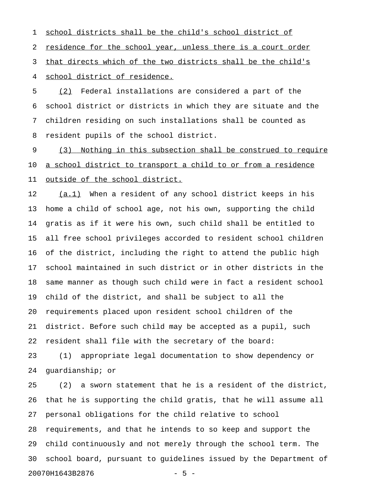1 school districts shall be the child's school district of 2 residence for the school year, unless there is a court order 3 that directs which of the two districts shall be the child's 4 school district of residence.

5 (2) Federal installations are considered a part of the 6 school district or districts in which they are situate and the 7 children residing on such installations shall be counted as 8 resident pupils of the school district.

9 (3) Nothing in this subsection shall be construed to require 10 a school district to transport a child to or from a residence 11 outside of the school district.

12 (a.1) When a resident of any school district keeps in his 13 home a child of school age, not his own, supporting the child 14 gratis as if it were his own, such child shall be entitled to 15 all free school privileges accorded to resident school children 16 of the district, including the right to attend the public high 17 school maintained in such district or in other districts in the 18 same manner as though such child were in fact a resident school 19 child of the district, and shall be subject to all the 20 requirements placed upon resident school children of the 21 district. Before such child may be accepted as a pupil, such 22 resident shall file with the secretary of the board:

23 (1) appropriate legal documentation to show dependency or 24 guardianship; or

25 (2) a sworn statement that he is a resident of the district, 26 that he is supporting the child gratis, that he will assume all 27 personal obligations for the child relative to school 28 requirements, and that he intends to so keep and support the 29 child continuously and not merely through the school term. The 30 school board, pursuant to guidelines issued by the Department of 20070H1643B2876 - 5 -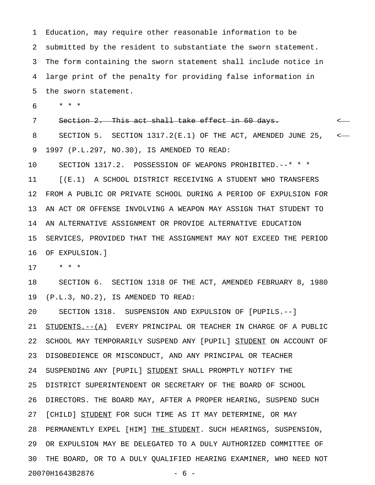1 Education, may require other reasonable information to be 2 submitted by the resident to substantiate the sworn statement. 3 The form containing the sworn statement shall include notice in 4 large print of the penalty for providing false information in 5 the sworn statement.

6 \* \* \*

7 Section 2. This act shall take effect in 60 days.  $\sim$ 

8 SECTION 5. SECTION 1317.2(E.1) OF THE ACT, AMENDED JUNE 25, < 9 1997 (P.L.297, NO.30), IS AMENDED TO READ:

10 SECTION 1317.2. POSSESSION OF WEAPONS PROHIBITED.--\* \* \* 11 [(E.1) A SCHOOL DISTRICT RECEIVING A STUDENT WHO TRANSFERS 12 FROM A PUBLIC OR PRIVATE SCHOOL DURING A PERIOD OF EXPULSION FOR 13 AN ACT OR OFFENSE INVOLVING A WEAPON MAY ASSIGN THAT STUDENT TO 14 AN ALTERNATIVE ASSIGNMENT OR PROVIDE ALTERNATIVE EDUCATION 15 SERVICES, PROVIDED THAT THE ASSIGNMENT MAY NOT EXCEED THE PERIOD 16 OF EXPULSION.]

17 \* \* \*

18 SECTION 6. SECTION 1318 OF THE ACT, AMENDED FEBRUARY 8, 1980 19 (P.L.3, NO.2), IS AMENDED TO READ:

20 SECTION 1318. SUSPENSION AND EXPULSION OF [PUPILS.--] 21 STUDENTS. -- (A) EVERY PRINCIPAL OR TEACHER IN CHARGE OF A PUBLIC 22 SCHOOL MAY TEMPORARILY SUSPEND ANY [PUPIL] STUDENT ON ACCOUNT OF 23 DISOBEDIENCE OR MISCONDUCT, AND ANY PRINCIPAL OR TEACHER 24 SUSPENDING ANY [PUPIL] STUDENT SHALL PROMPTLY NOTIFY THE 25 DISTRICT SUPERINTENDENT OR SECRETARY OF THE BOARD OF SCHOOL 26 DIRECTORS. THE BOARD MAY, AFTER A PROPER HEARING, SUSPEND SUCH 27 [CHILD] STUDENT FOR SUCH TIME AS IT MAY DETERMINE, OR MAY 28 PERMANENTLY EXPEL [HIM] THE STUDENT. SUCH HEARINGS, SUSPENSION, 29 OR EXPULSION MAY BE DELEGATED TO A DULY AUTHORIZED COMMITTEE OF 30 THE BOARD, OR TO A DULY QUALIFIED HEARING EXAMINER, WHO NEED NOT 20070H1643B2876 - 6 -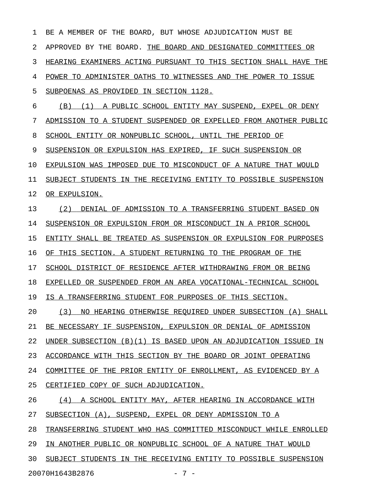1 BE A MEMBER OF THE BOARD, BUT WHOSE ADJUDICATION MUST BE 2 APPROVED BY THE BOARD. THE BOARD AND DESIGNATED COMMITTEES OR 3 HEARING EXAMINERS ACTING PURSUANT TO THIS SECTION SHALL HAVE THE 4 POWER TO ADMINISTER OATHS TO WITNESSES AND THE POWER TO ISSUE 5 SUBPOENAS AS PROVIDED IN SECTION 1128. 6 (B) (1) A PUBLIC SCHOOL ENTITY MAY SUSPEND, EXPEL OR DENY 7 ADMISSION TO A STUDENT SUSPENDED OR EXPELLED FROM ANOTHER PUBLIC 8 SCHOOL ENTITY OR NONPUBLIC SCHOOL, UNTIL THE PERIOD OF 9 SUSPENSION OR EXPULSION HAS EXPIRED, IF SUCH SUSPENSION OR 10 EXPULSION WAS IMPOSED DUE TO MISCONDUCT OF A NATURE THAT WOULD 11 SUBJECT STUDENTS IN THE RECEIVING ENTITY TO POSSIBLE SUSPENSION 12 OR EXPULSION. 13 (2) DENIAL OF ADMISSION TO A TRANSFERRING STUDENT BASED ON 14 SUSPENSION OR EXPULSION FROM OR MISCONDUCT IN A PRIOR SCHOOL 15 ENTITY SHALL BE TREATED AS SUSPENSION OR EXPULSION FOR PURPOSES 16 OF THIS SECTION. A STUDENT RETURNING TO THE PROGRAM OF THE 17 SCHOOL DISTRICT OF RESIDENCE AFTER WITHDRAWING FROM OR BEING 18 EXPELLED OR SUSPENDED FROM AN AREA VOCATIONAL-TECHNICAL SCHOOL 19 IS A TRANSFERRING STUDENT FOR PURPOSES OF THIS SECTION. 20 (3) NO HEARING OTHERWISE REQUIRED UNDER SUBSECTION (A) SHALL 21 BE NECESSARY IF SUSPENSION, EXPULSION OR DENIAL OF ADMISSION 22 UNDER SUBSECTION (B)(1) IS BASED UPON AN ADJUDICATION ISSUED IN 23 ACCORDANCE WITH THIS SECTION BY THE BOARD OR JOINT OPERATING 24 COMMITTEE OF THE PRIOR ENTITY OF ENROLLMENT, AS EVIDENCED BY A 25 CERTIFIED COPY OF SUCH ADJUDICATION. 26 (4) A SCHOOL ENTITY MAY, AFTER HEARING IN ACCORDANCE WITH 27 SUBSECTION (A), SUSPEND, EXPEL OR DENY ADMISSION TO A 28 TRANSFERRING STUDENT WHO HAS COMMITTED MISCONDUCT WHILE ENROLLED 29 IN ANOTHER PUBLIC OR NONPUBLIC SCHOOL OF A NATURE THAT WOULD 30 SUBJECT STUDENTS IN THE RECEIVING ENTITY TO POSSIBLE SUSPENSION

20070H1643B2876 - 7 -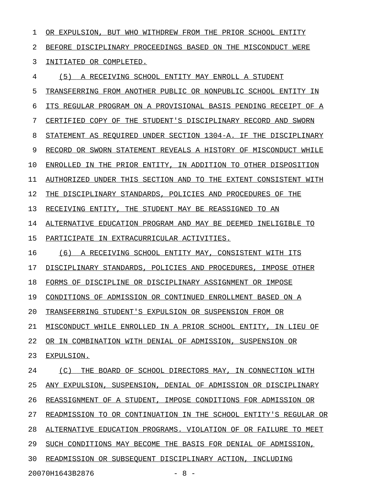| 1  | OR EXPULSION, BUT WHO WITHDREW FROM THE PRIOR SCHOOL ENTITY      |
|----|------------------------------------------------------------------|
| 2  | BEFORE DISCIPLINARY PROCEEDINGS BASED ON THE MISCONDUCT WERE     |
| 3  | INITIATED OR COMPLETED.                                          |
| 4  | (5)<br>A RECEIVING SCHOOL ENTITY MAY ENROLL A STUDENT            |
| 5  | TRANSFERRING FROM ANOTHER PUBLIC OR NONPUBLIC SCHOOL ENTITY IN   |
| 6  | ITS REGULAR PROGRAM ON A PROVISIONAL BASIS PENDING RECEIPT OF A  |
| 7  | CERTIFIED COPY OF THE STUDENT'S DISCIPLINARY RECORD AND SWORN    |
| 8  | STATEMENT AS REQUIRED UNDER SECTION 1304-A. IF THE DISCIPLINARY  |
| 9  | RECORD OR SWORN STATEMENT REVEALS A HISTORY OF MISCONDUCT WHILE  |
| 10 | ENROLLED IN THE PRIOR ENTITY, IN ADDITION TO OTHER DISPOSITION   |
| 11 | AUTHORIZED UNDER THIS SECTION AND TO THE EXTENT CONSISTENT WITH  |
| 12 | THE DISCIPLINARY STANDARDS, POLICIES AND PROCEDURES OF THE       |
| 13 | RECEIVING ENTITY, THE STUDENT MAY BE REASSIGNED TO AN            |
| 14 | ALTERNATIVE EDUCATION PROGRAM AND MAY BE DEEMED INELIGIBLE TO    |
| 15 | PARTICIPATE IN EXTRACURRICULAR ACTIVITIES.                       |
| 16 | A RECEIVING SCHOOL ENTITY MAY, CONSISTENT WITH ITS<br>(6)        |
| 17 | DISCIPLINARY STANDARDS, POLICIES AND PROCEDURES,<br>IMPOSE OTHER |
| 18 | FORMS OF DISCIPLINE OR DISCIPLINARY ASSIGNMENT OR IMPOSE         |
| 19 | CONDITIONS OF ADMISSION OR CONTINUED ENROLLMENT BASED ON A       |
| 20 | TRANSFERRING STUDENT'S EXPULSION OR SUSPENSION FROM OR           |
| 21 | MISCONDUCT WHILE ENROLLED IN A PRIOR SCHOOL ENTITY, IN LIEU OF   |
| 22 | OR IN COMBINATION WITH DENIAL OF ADMISSION, SUSPENSION OR        |
| 23 | EXPULSION.                                                       |
| 24 | (C) THE BOARD OF SCHOOL DIRECTORS MAY, IN CONNECTION WITH        |
| 25 | ANY EXPULSION, SUSPENSION, DENIAL OF ADMISSION OR DISCIPLINARY   |
| 26 | REASSIGNMENT OF A STUDENT, IMPOSE CONDITIONS FOR ADMISSION OR    |
| 27 | READMISSION TO OR CONTINUATION IN THE SCHOOL ENTITY'S REGULAR OR |
| 28 | ALTERNATIVE EDUCATION PROGRAMS. VIOLATION OF OR FAILURE TO MEET  |
| 29 | SUCH CONDITIONS MAY BECOME THE BASIS FOR DENIAL OF ADMISSION,    |
| 30 | READMISSION OR SUBSEQUENT DISCIPLINARY ACTION, INCLUDING         |
|    |                                                                  |

20070H1643B2876 - 8 -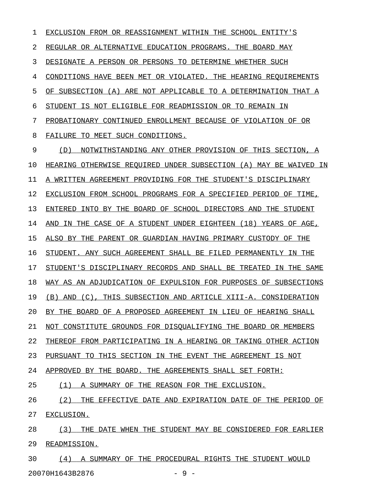1 EXCLUSION FROM OR REASSIGNMENT WITHIN THE SCHOOL ENTITY'S 2 REGULAR OR ALTERNATIVE EDUCATION PROGRAMS. THE BOARD MAY 3 DESIGNATE A PERSON OR PERSONS TO DETERMINE WHETHER SUCH 4 CONDITIONS HAVE BEEN MET OR VIOLATED. THE HEARING REQUIREMENTS 5 OF SUBSECTION (A) ARE NOT APPLICABLE TO A DETERMINATION THAT A 6 STUDENT IS NOT ELIGIBLE FOR READMISSION OR TO REMAIN IN 7 PROBATIONARY CONTINUED ENROLLMENT BECAUSE OF VIOLATION OF OR 8 FAILURE TO MEET SUCH CONDITIONS. 9 (D) NOTWITHSTANDING ANY OTHER PROVISION OF THIS SECTION, A 10 HEARING OTHERWISE REQUIRED UNDER SUBSECTION (A) MAY BE WAIVED IN 11 A WRITTEN AGREEMENT PROVIDING FOR THE STUDENT'S DISCIPLINARY 12 EXCLUSION FROM SCHOOL PROGRAMS FOR A SPECIFIED PERIOD OF TIME, 13 ENTERED INTO BY THE BOARD OF SCHOOL DIRECTORS AND THE STUDENT 14 AND IN THE CASE OF A STUDENT UNDER EIGHTEEN (18) YEARS OF AGE, 15 ALSO BY THE PARENT OR GUARDIAN HAVING PRIMARY CUSTODY OF THE 16 STUDENT. ANY SUCH AGREEMENT SHALL BE FILED PERMANENTLY IN THE 17 STUDENT'S DISCIPLINARY RECORDS AND SHALL BE TREATED IN THE SAME 18 WAY AS AN ADJUDICATION OF EXPULSION FOR PURPOSES OF SUBSECTIONS 19 (B) AND (C), THIS SUBSECTION AND ARTICLE XIII-A. CONSIDERATION 20 BY THE BOARD OF A PROPOSED AGREEMENT IN LIEU OF HEARING SHALL 21 NOT CONSTITUTE GROUNDS FOR DISQUALIFYING THE BOARD OR MEMBERS 22 THEREOF FROM PARTICIPATING IN A HEARING OR TAKING OTHER ACTION 23 PURSUANT TO THIS SECTION IN THE EVENT THE AGREEMENT IS NOT 24 APPROVED BY THE BOARD. THE AGREEMENTS SHALL SET FORTH: 25 (1) A SUMMARY OF THE REASON FOR THE EXCLUSION. 26 (2) THE EFFECTIVE DATE AND EXPIRATION DATE OF THE PERIOD OF 27 EXCLUSION. 28 (3) THE DATE WHEN THE STUDENT MAY BE CONSIDERED FOR EARLIER 29 READMISSION. 30 (4) A SUMMARY OF THE PROCEDURAL RIGHTS THE STUDENT WOULD

20070H1643B2876 - 9 -